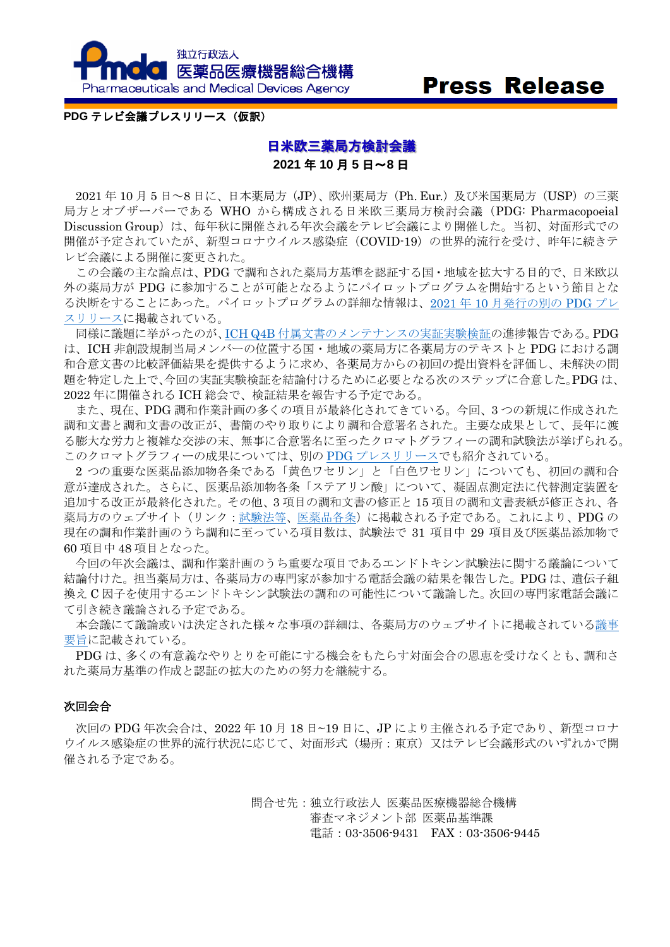

# **Press Release**

#### **PDG** テレビ会議プレスリリース(仮訳)

## 日米欧三薬局方検討会議 **2021** 年 **10** 月 **5** 日~**8** 日

2021 年 10 月 5 日~8 日に、日本薬局方(JP)、欧州薬局方(Ph. Eur.)及び米国薬局方(USP)の三薬 局方とオブザーバーである WHO から構成される日米欧三薬局方検討会議(PDG: Pharmacopoeial Discussion Group)は、毎年秋に開催される年次会議をテレビ会議により開催した。当初、対面形式での 開催が予定されていたが、新型コロナウイルス感染症 (COVID-19) の世界的流行を受け、昨年に続きテ レビ会議による開催に変更された。

この会議の主な論点は、PDG で調和された薬局方基準を認証する国・地域を拡大する目的で、日米欧以 外の薬局方が PDG に参加することが可能となるようにパイロットプログラムを開始するという節目とな る決断をすることにあった。パイロットプログラムの詳細な情報は、2021 年 10 [月発行の別の](https://www.pmda.go.jp/files/000243252.pdf) PDG プレ [スリリースに](https://www.pmda.go.jp/files/000243252.pdf)掲載されている。

同様に議題に挙がったのが、ICH Q4B [付属文書のメンテナンスの実証実験検証の](https://www.pmda.go.jp/files/000241303.pdf)進捗報告である。PDG は、ICH 非創設規制当局メンバーの位置する国・地域の薬局方に各薬局方のテキストと PDG における調 和合意文書の比較評価結果を提供するように求め、各薬局方からの初回の提出資料を評価し、未解決の問 題を特定した上で、今回の実証実験検証を結論付けるために必要となる次のステップに合意した。PDG は、 2022 年に開催される ICH 総会で、検証結果を報告する予定である。

また、現在、PDG 調和作業計画の多くの項目が最終化されてきている。今回、3 つの新規に作成された 調和文書と調和文書の改正が、書簡のやり取りにより調和合意署名された。主要な成果として、長年に渡 る膨大な労力と複雑な交渉の末、無事に合意署名に至ったクロマトグラフィーの調和試験法が挙げられる。 このクロマトグラフィーの成果については、別の PDG [プレスリリースで](https://www.pmda.go.jp/files/000243450.pdf)も紹介されている。

2 つの重要な医薬品添加物各条である「黄色ワセリン」と「白色ワセリン」についても、初回の調和合 意が達成された。さらに、医薬品添加物各条「ステアリン酸」について、凝固点測定法に代替測定装置を 追加する改正が最終化された。その他、3 項目の調和文書の修正と 15 項目の調和文書表紙が修正され、各 薬局方のウェブサイト(リンク[:試験法等](https://www.pmda.go.jp/rs-std-jp/standards-development/jp/0021.html)[、医薬品各条\)](https://www.pmda.go.jp/rs-std-jp/standards-development/jp/0020.html)に掲載される予定である。これにより、PDG の 現在の調和作業計画のうち調和に至っている項目数は、試験法で 31 項目中 29 項目及び医薬品添加物で 60 項目中 48 項目となった。

今回の年次会議は、調和作業計画のうち重要な項目であるエンドトキシン試験法に関する議論について 結論付けた。担当薬局方は、各薬局方の専門家が参加する電話会議の結果を報告した。PDG は、遺伝子組 換え C 因子を使用するエンドトキシン試験法の調和の可能性について議論した。次回の専門家電話会議に て引き続き議論される予定である。

本会議にて議論或いは決定された様々な事項の詳細は、各薬局方のウェブサイトに掲載されてい[る議事](https://www.pmda.go.jp/files/000245208.pdf) [要旨に](https://www.pmda.go.jp/files/000245208.pdf)記載されている。

PDG は、多くの有意義なやりとりを可能にする機会をもたらす対面会合の恩恵を受けなくとも、調和さ れた薬局方基準の作成と認証の拡大のための努力を継続する。

#### 次回会合

次回の PDG 年次会合は、2022 年 10 月 18 日~19 日に、JP により主催される予定であり、新型コロナ ウイルス感染症の世界的流行状況に応じて、対面形式(場所:東京)又はテレビ会議形式のいずれかで開 催される予定である。

> 問合せ先:独立行政法人 医薬品医療機器総合機構 審査マネジメント部 医薬品基準課 電話:03-3506-9431 FAX:03-3506-9445